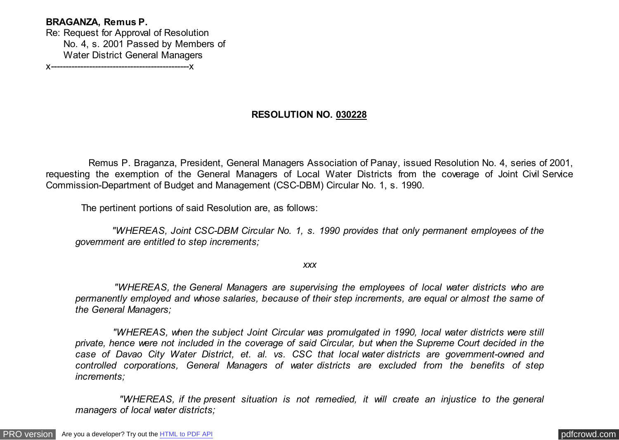## **BRAGANZA, Remus P.**

Re: Request for Approval of Resolution No. 4, s. 2001 Passed by Members of Water District General Managers

x-----------------------------------------------x

## **RESOLUTION NO. 030228**

 Remus P. Braganza, President, General Managers Association of Panay, issued Resolution No. 4, series of 2001, requesting the exemption of the General Managers of Local Water Districts from the coverage of Joint Civil Service Commission-Department of Budget and Management (CSC-DBM) Circular No. 1, s. 1990.

The pertinent portions of said Resolution are, as follows:

 *"WHEREAS, Joint CSC-DBM Circular No. 1, s. 1990 provides that only permanent employees of the government are entitled to step increments;*

*xxx*

 *"WHEREAS, the General Managers are supervising the employees of local water districts who are permanently employed and whose salaries, because of their step increments, are equal or almost the same of the General Managers;*

 *"WHEREAS, when the subject Joint Circular was promulgated in 1990, local water districts were still private, hence were not included in the coverage of said Circular, but when the Supreme Court decided in the case of Davao City Water District, et. al. vs. CSC that local water districts are government-owned and controlled corporations, General Managers of water districts are excluded from the benefits of step increments;*

 *"WHEREAS, if the present situation is not remedied, it will create an injustice to the general managers of local water districts;*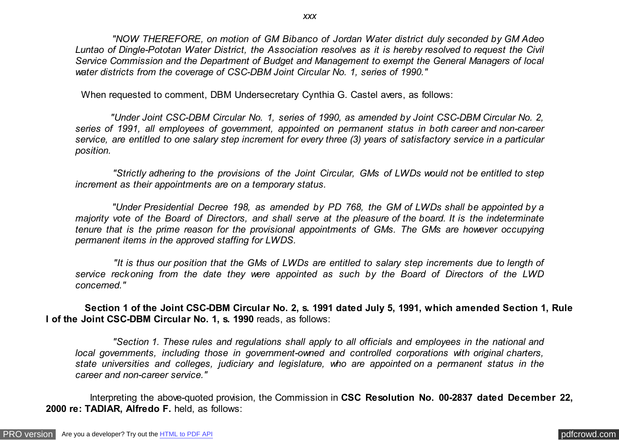*"NOW THEREFORE, on motion of GM Bibanco of Jordan Water district duly seconded by GM Adeo Luntao of Dingle-Pototan Water District, the Association resolves as it is hereby resolved to request the Civil Service Commission and the Department of Budget and Management to exempt the General Managers of local water districts from the coverage of CSC-DBM Joint Circular No. 1, series of 1990."*

When requested to comment, DBM Undersecretary Cynthia G. Castel avers, as follows:

 *"Under Joint CSC-DBM Circular No. 1, series of 1990, as amended by Joint CSC-DBM Circular No. 2, series of 1991, all employees of government, appointed on permanent status in both career and non-career service, are entitled to one salary step increment for every three (3) years of satisfactory service in a particular position.*

 *"Strictly adhering to the provisions of the Joint Circular, GMs of LWDs would not be entitled to step increment as their appointments are on a temporary status.*

 *"Under Presidential Decree 198, as amended by PD 768, the GM of LWDs shall be appointed by a majority vote of the Board of Directors, and shall serve at the pleasure of the board. It is the indeterminate tenure that is the prime reason for the provisional appointments of GMs. The GMs are however occupying permanent items in the approved staffing for LWDS.*

 *"It is thus our position that the GMs of LWDs are entitled to salary step increments due to length of service reckoning from the date they were appointed as such by the Board of Directors of the LWD concerned."*

 **Section 1 of the Joint CSC-DBM Circular No. 2, s. 1991 dated July 5, 1991, which amended Section 1, Rule I of the Joint CSC-DBM Circular No. 1, s. 1990** reads, as follows:

 *"Section 1. These rules and regulations shall apply to all officials and employees in the national and local governments, including those in government-owned and controlled corporations with original charters, state universities and colleges, judiciary and legislature, who are appointed on a permanent status in the career and non-career service."*

 Interpreting the above-quoted provision, the Commission in **CSC Resolution No. 00-2837 dated December 22, 2000 re: TADIAR, Alfredo F.** held, as follows: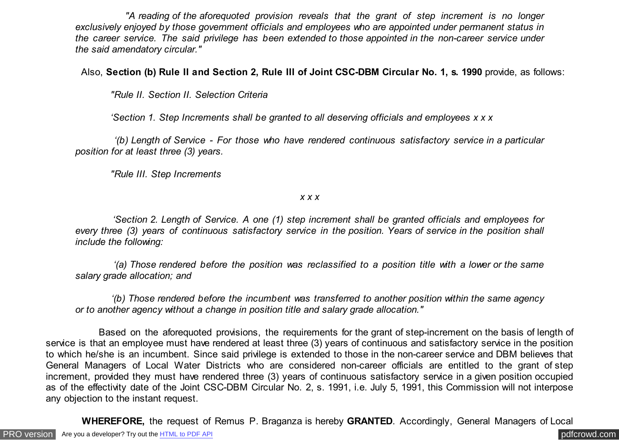*"A reading of the aforequoted provision reveals that the grant of step increment is no longer exclusively enjoyed by those government officials and employees who are appointed under permanent status in the career service. The said privilege has been extended to those appointed in the non-career service under the said amendatory circular."*

Also, **Section (b) Rule II and Section 2, Rule III of Joint CSC-DBM Circular No. 1, s. 1990** provide, as follows:

 *"Rule II. Section II. Selection Criteria*

 *'Section 1. Step Increments shall be granted to all deserving officials and employees x x x*

 *'(b) Length of Service - For those who have rendered continuous satisfactory service in a particular position for at least three (3) years.*

 *"Rule III. Step Increments*

*x x x*

 *'Section 2. Length of Service. A one (1) step increment shall be granted officials and employees for every three (3) years of continuous satisfactory service in the position. Years of service in the position shall include the following:*

 *'(a) Those rendered before the position was reclassified to a position title with a lower or the same salary grade allocation; and*

 *'(b) Those rendered before the incumbent was transferred to another position within the same agency or to another agency without a change in position title and salary grade allocation."*

 Based on the aforequoted provisions, the requirements for the grant of step-increment on the basis of length of service is that an employee must have rendered at least three (3) years of continuous and satisfactory service in the position to which he/she is an incumbent. Since said privilege is extended to those in the non-career service and DBM believes that General Managers of Local Water Districts who are considered non-career officials are entitled to the grant of step increment, provided they must have rendered three (3) years of continuous satisfactory service in a given position occupied as of the effectivity date of the Joint CSC-DBM Circular No. 2, s. 1991, i.e. July 5, 1991, this Commission will not interpose any objection to the instant request.

 **WHEREFORE,** the request of Remus P. Braganza is hereby **GRANTED**. Accordingly, General Managers of Local